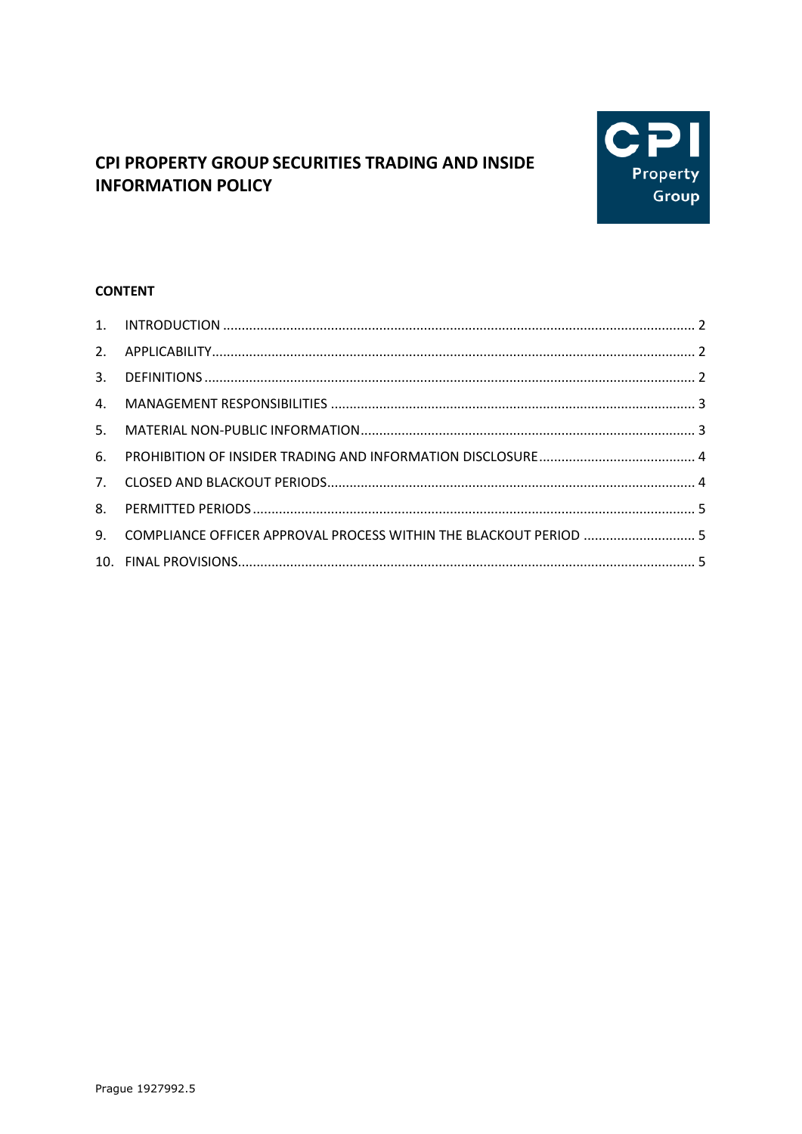

# CPI PROPERTY GROUP SECURITIES TRADING AND INSIDE **INFORMATION POLICY**

# **CONTENT**

| 9. COMPLIANCE OFFICER APPROVAL PROCESS WITHIN THE BLACKOUT PERIOD  5 |  |
|----------------------------------------------------------------------|--|
|                                                                      |  |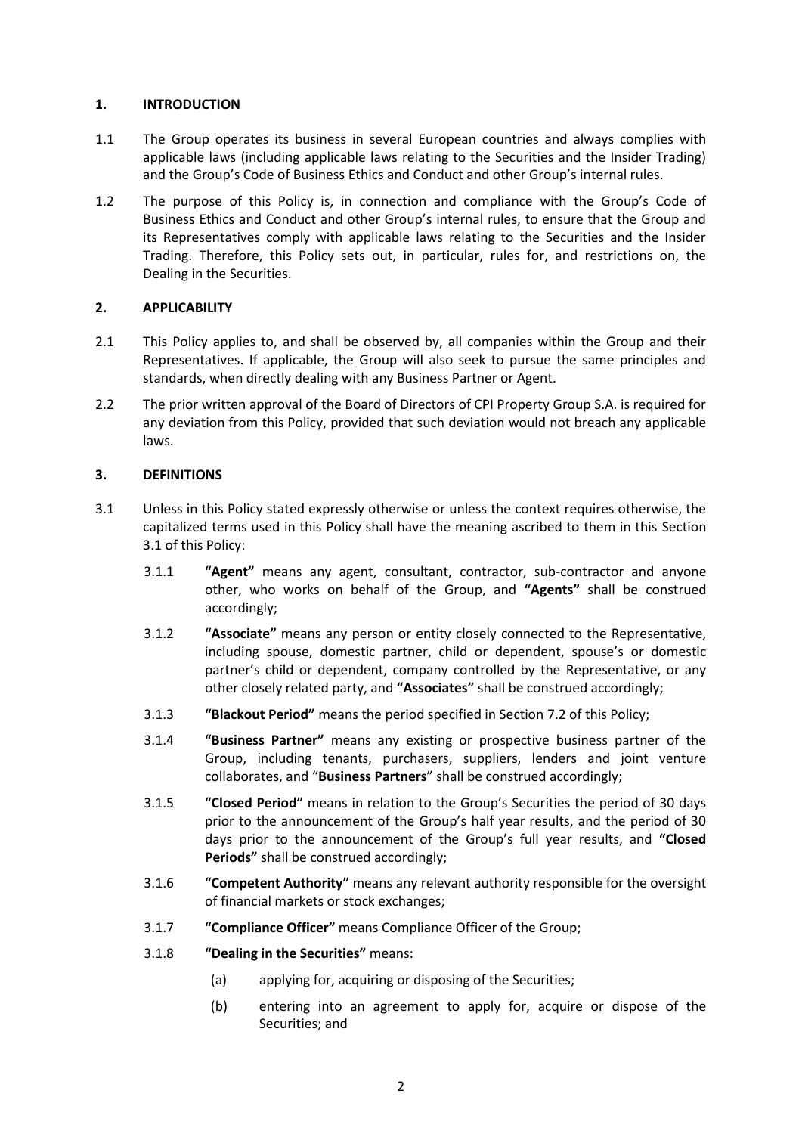# <span id="page-1-0"></span>**1. INTRODUCTION**

- 1.1 The Group operates its business in several European countries and always complies with applicable laws (including applicable laws relating to the Securities and the Insider Trading) and the Group's Code of Business Ethics and Conduct and other Group's internal rules.
- 1.2 The purpose of this Policy is, in connection and compliance with the Group's Code of Business Ethics and Conduct and other Group's internal rules, to ensure that the Group and its Representatives comply with applicable laws relating to the Securities and the Insider Trading. Therefore, this Policy sets out, in particular, rules for, and restrictions on, the Dealing in the Securities.

# <span id="page-1-1"></span>**2. APPLICABILITY**

- 2.1 This Policy applies to, and shall be observed by, all companies within the Group and their Representatives. If applicable, the Group will also seek to pursue the same principles and standards, when directly dealing with any Business Partner or Agent.
- 2.2 The prior written approval of the Board of Directors of CPI Property Group S.A. is required for any deviation from this Policy, provided that such deviation would not breach any applicable laws.

# <span id="page-1-2"></span>**3. DEFINITIONS**

- <span id="page-1-3"></span>3.1 Unless in this Policy stated expressly otherwise or unless the context requires otherwise, the capitalized terms used in this Policy shall have the meaning ascribed to them in this Section [3.1](#page-1-3) of this Policy:
	- 3.1.1 **"Agent"** means any agent, consultant, contractor, sub-contractor and anyone other, who works on behalf of the Group, and **"Agents"** shall be construed accordingly;
	- 3.1.2 **"Associate"** means any person or entity closely connected to the Representative, including spouse, domestic partner, child or dependent, spouse's or domestic partner's child or dependent, company controlled by the Representative, or any other closely related party, and **"Associates"** shall be construed accordingly;
	- 3.1.3 **"Blackout Period"** means the period specified in Section [7.2](#page-3-2) of this Policy;
	- 3.1.4 **"Business Partner"** means any existing or prospective business partner of the Group, including tenants, purchasers, suppliers, lenders and joint venture collaborates, and "**Business Partners**" shall be construed accordingly;
	- 3.1.5 **"Closed Period"** means in relation to the Group's Securities the period of 30 days prior to the announcement of the Group's half year results, and the period of 30 days prior to the announcement of the Group's full year results, and **"Closed Periods"** shall be construed accordingly;
	- 3.1.6 **"Competent Authority"** means any relevant authority responsible for the oversight of financial markets or stock exchanges;
	- 3.1.7 **"Compliance Officer"** means Compliance Officer of the Group;
	- 3.1.8 **"Dealing in the Securities"** means:
		- (a) applying for, acquiring or disposing of the Securities;
		- (b) entering into an agreement to apply for, acquire or dispose of the Securities; and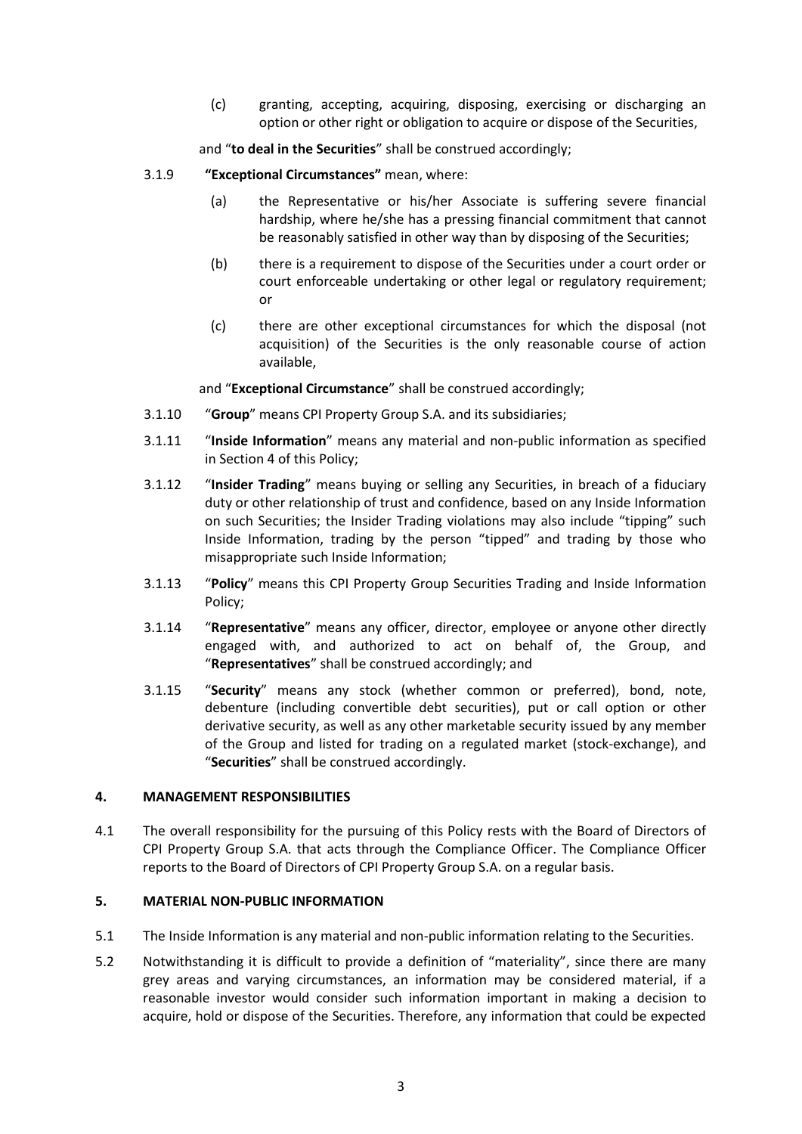(c) granting, accepting, acquiring, disposing, exercising or discharging an option or other right or obligation to acquire or dispose of the Securities,

and "**to deal in the Securities**" shall be construed accordingly;

- 3.1.9 **"Exceptional Circumstances"** mean, where:
	- (a) the Representative or his/her Associate is suffering severe financial hardship, where he/she has a pressing financial commitment that cannot be reasonably satisfied in other way than by disposing of the Securities;
	- (b) there is a requirement to dispose of the Securities under a court order or court enforceable undertaking or other legal or regulatory requirement; or
	- (c) there are other exceptional circumstances for which the disposal (not acquisition) of the Securities is the only reasonable course of action available,

and "**Exceptional Circumstance**" shall be construed accordingly;

- 3.1.10 "**Group**" means CPI Property Group S.A. and its subsidiaries;
- 3.1.11 "**Inside Information**" means any material and non-public information as specified in Sectio[n 4](#page-2-0) of this Policy;
- 3.1.12 "**Insider Trading**" means buying or selling any Securities, in breach of a fiduciary duty or other relationship of trust and confidence, based on any Inside Information on such Securities; the Insider Trading violations may also include "tipping" such Inside Information, trading by the person "tipped" and trading by those who misappropriate such Inside Information;
- 3.1.13 "**Policy**" means this CPI Property Group Securities Trading and Inside Information Policy;
- 3.1.14 "**Representative**" means any officer, director, employee or anyone other directly engaged with, and authorized to act on behalf of, the Group, and "**Representatives**" shall be construed accordingly; and
- 3.1.15 "**Security**" means any stock (whether common or preferred), bond, note, debenture (including convertible debt securities), put or call option or other derivative security, as well as any other marketable security issued by any member of the Group and listed for trading on a regulated market (stock-exchange), and "**Securities**" shall be construed accordingly.

# <span id="page-2-0"></span>**4. MANAGEMENT RESPONSIBILITIES**

4.1 The overall responsibility for the pursuing of this Policy rests with the Board of Directors of CPI Property Group S.A. that acts through the Compliance Officer. The Compliance Officer reports to the Board of Directors of CPI Property Group S.A. on a regular basis.

#### <span id="page-2-1"></span>**5. MATERIAL NON-PUBLIC INFORMATION**

- 5.1 The Inside Information is any material and non-public information relating to the Securities.
- 5.2 Notwithstanding it is difficult to provide a definition of "materiality", since there are many grey areas and varying circumstances, an information may be considered material, if a reasonable investor would consider such information important in making a decision to acquire, hold or dispose of the Securities. Therefore, any information that could be expected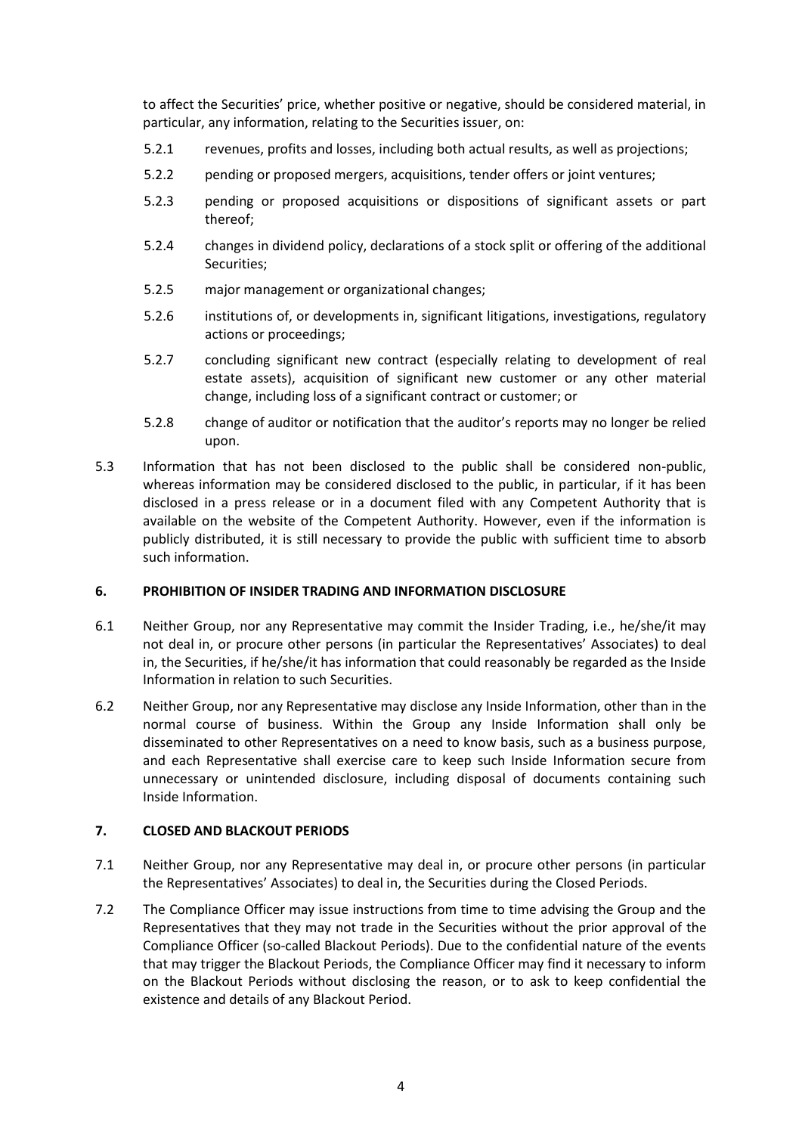to affect the Securities' price, whether positive or negative, should be considered material, in particular, any information, relating to the Securities issuer, on:

- 5.2.1 revenues, profits and losses, including both actual results, as well as projections;
- 5.2.2 pending or proposed mergers, acquisitions, tender offers or joint ventures;
- 5.2.3 pending or proposed acquisitions or dispositions of significant assets or part thereof;
- 5.2.4 changes in dividend policy, declarations of a stock split or offering of the additional Securities;
- 5.2.5 major management or organizational changes;
- 5.2.6 institutions of, or developments in, significant litigations, investigations, regulatory actions or proceedings;
- 5.2.7 concluding significant new contract (especially relating to development of real estate assets), acquisition of significant new customer or any other material change, including loss of a significant contract or customer; or
- 5.2.8 change of auditor or notification that the auditor's reports may no longer be relied upon.
- 5.3 Information that has not been disclosed to the public shall be considered non-public, whereas information may be considered disclosed to the public, in particular, if it has been disclosed in a press release or in a document filed with any Competent Authority that is available on the website of the Competent Authority. However, even if the information is publicly distributed, it is still necessary to provide the public with sufficient time to absorb such information.

#### <span id="page-3-0"></span>**6. PROHIBITION OF INSIDER TRADING AND INFORMATION DISCLOSURE**

- 6.1 Neither Group, nor any Representative may commit the Insider Trading, i.e., he/she/it may not deal in, or procure other persons (in particular the Representatives' Associates) to deal in, the Securities, if he/she/it has information that could reasonably be regarded as the Inside Information in relation to such Securities.
- 6.2 Neither Group, nor any Representative may disclose any Inside Information, other than in the normal course of business. Within the Group any Inside Information shall only be disseminated to other Representatives on a need to know basis, such as a business purpose, and each Representative shall exercise care to keep such Inside Information secure from unnecessary or unintended disclosure, including disposal of documents containing such Inside Information.

#### <span id="page-3-1"></span>**7. CLOSED AND BLACKOUT PERIODS**

- 7.1 Neither Group, nor any Representative may deal in, or procure other persons (in particular the Representatives' Associates) to deal in, the Securities during the Closed Periods.
- <span id="page-3-2"></span>7.2 The Compliance Officer may issue instructions from time to time advising the Group and the Representatives that they may not trade in the Securities without the prior approval of the Compliance Officer (so-called Blackout Periods). Due to the confidential nature of the events that may trigger the Blackout Periods, the Compliance Officer may find it necessary to inform on the Blackout Periods without disclosing the reason, or to ask to keep confidential the existence and details of any Blackout Period.